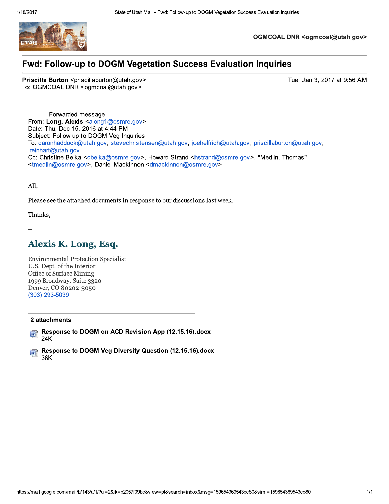

OGMCOAL DNR <ogmcoal@utah.gov>

## **Fwd: Follow-up to DOGM Vegetation Success Evaluation Inquiries**

Priscilla Burton <priscillaburton@utah.gov> To: OGMCOAL DNR <ogmcoal@utah.gov>

Tue, Jan 3, 2017 at 9:56 AM

- Forwarded message From: Long, Alexis <along1@osmre.gov> Date: Thu, Dec 15, 2016 at 4:44 PM Subject: Follow-up to DOGM Veg Inquiries To: daronhaddock@utah.gov, stevechristensen@utah.gov, joehelfrich@utah.gov, priscillaburton@utah.gov, Ireinhart@utah.gov Cc: Christine Belka <cbelka@osmre.gov>, Howard Strand <hstrand@osmre.gov>, "Medlin, Thomas" <tmedlin@osmre.gov>, Daniel Mackinnon <dmackinnon@osmre.gov>

All,

Please see the attached documents in response to our discussions last week.

Thanks,

# Alexis K. Long, Esq.

**Environmental Protection Specialist** U.S. Dept. of the Interior Office of Surface Mining 1999 Broadway, Suite 3320 Denver, CO 80202-3050  $(303)$  293-5039

#### 2 attachments

Response to DOGM on ACD Revision App (12.15.16) docx w, 24K

Response to DOGM Veg Diversity Question (12.15.16) docx 啊 36K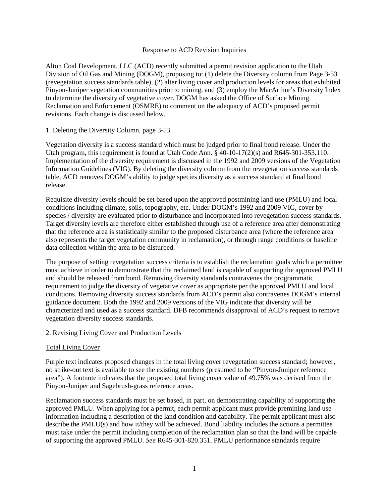#### Response to ACD Revision Inquiries

Alton Coal Development, LLC (ACD) recently submitted a permit revision application to the Utah Division of Oil Gas and Mining (DOGM), proposing to: (1) delete the Diversity column from Page 3-53 (revegetation success standards table), (2) alter living cover and production levels for areas that exhibited Pinyon-Juniper vegetation communities prior to mining, and (3) employ the MacArthur's Diversity Index to determine the diversity of vegetative cover. DOGM has asked the Office of Surface Mining Reclamation and Enforcement (OSMRE) to comment on the adequacy of ACD's proposed permit revisions. Each change is discussed below.

## 1. Deleting the Diversity Column, page 3-53

Vegetation diversity is a success standard which must be judged prior to final bond release. Under the Utah program, this requirement is found at Utah Code Ann.  $\S$  40-10-17(2)(s) and R645-301-353.110. Implementation of the diversity requirement is discussed in the 1992 and 2009 versions of the Vegetation Information Guidelines (VIG). By deleting the diversity column from the revegetation success standards table, ACD removes DOGM's ability to judge species diversity as a success standard at final bond release.

Requisite diversity levels should be set based upon the approved postmining land use (PMLU) and local conditions including climate, soils, topography, etc. Under DOGM's 1992 and 2009 VIG, cover by species / diversity are evaluated prior to disturbance and incorporated into revegetation success standards. Target diversity levels are therefore either established through use of a reference area after demonstrating that the reference area is statistically similar to the proposed disturbance area (where the reference area also represents the target vegetation community in reclamation), or through range conditions or baseline data collection within the area to be disturbed.

The purpose of setting revegetation success criteria is to establish the reclamation goals which a permittee must achieve in order to demonstrate that the reclaimed land is capable of supporting the approved PMLU and should be released from bond. Removing diversity standards contravenes the programmatic requirement to judge the diversity of vegetative cover as appropriate per the approved PMLU and local conditions. Removing diversity success standards from ACD's permit also contravenes DOGM's internal guidance document. Both the 1992 and 2009 versions of the VIG indicate that diversity will be characterized and used as a success standard. DFB recommends disapproval of ACD's request to remove vegetation diversity success standards.

## 2. Revising Living Cover and Production Levels

## Total Living Cover

Purple text indicates proposed changes in the total living cover revegetation success standard; however, no strike-out text is available to see the existing numbers (presumed to be "Pinyon-Juniper reference area"). A footnote indicates that the proposed total living cover value of 49.75% was derived from the Pinyon-Juniper and Sagebrush-grass reference areas.

Reclamation success standards must be set based, in part, on demonstrating capability of supporting the approved PMLU. When applying for a permit, each permit applicant must provide premining land use information including a description of the land condition and capability. The permit applicant must also describe the PMLU(s) and how it/they will be achieved. Bond liability includes the actions a permittee must take under the permit including completion of the reclamation plan so that the land will be capable of supporting the approved PMLU. *See* R645-301-820.351. PMLU performance standards require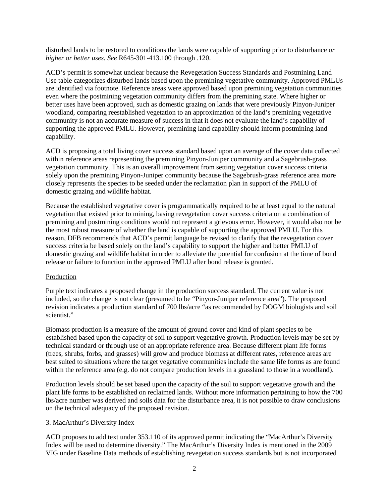disturbed lands to be restored to conditions the lands were capable of supporting prior to disturbance *or higher or better uses. See* R645-301-413.100 through .120.

ACD's permit is somewhat unclear because the Revegetation Success Standards and Postmining Land Use table categorizes disturbed lands based upon the premining vegetative community. Approved PMLUs are identified via footnote. Reference areas were approved based upon premining vegetation communities even where the postmining vegetation community differs from the premining state. Where higher or better uses have been approved, such as domestic grazing on lands that were previously Pinyon-Juniper woodland, comparing reestablished vegetation to an approximation of the land's premining vegetative community is not an accurate measure of success in that it does not evaluate the land's capability of supporting the approved PMLU. However, premining land capability should inform postmining land capability.

ACD is proposing a total living cover success standard based upon an average of the cover data collected within reference areas representing the premining Pinyon-Juniper community and a Sagebrush-grass vegetation community. This is an overall improvement from setting vegetation cover success criteria solely upon the premining Pinyon-Juniper community because the Sagebrush-grass reference area more closely represents the species to be seeded under the reclamation plan in support of the PMLU of domestic grazing and wildlife habitat.

Because the established vegetative cover is programmatically required to be at least equal to the natural vegetation that existed prior to mining, basing revegetation cover success criteria on a combination of premining and postmining conditions would not represent a grievous error. However, it would also not be the most robust measure of whether the land is capable of supporting the approved PMLU. For this reason, DFB recommends that ACD's permit language be revised to clarify that the revegetation cover success criteria be based solely on the land's capability to support the higher and better PMLU of domestic grazing and wildlife habitat in order to alleviate the potential for confusion at the time of bond release or failure to function in the approved PMLU after bond release is granted.

## Production

Purple text indicates a proposed change in the production success standard. The current value is not included, so the change is not clear (presumed to be "Pinyon-Juniper reference area"). The proposed revision indicates a production standard of 700 lbs/acre "as recommended by DOGM biologists and soil scientist."

Biomass production is a measure of the amount of ground cover and kind of plant species to be established based upon the capacity of soil to support vegetative growth. Production levels may be set by technical standard or through use of an appropriate reference area. Because different plant life forms (trees, shrubs, forbs, and grasses) will grow and produce biomass at different rates, reference areas are best suited to situations where the target vegetative communities include the same life forms as are found within the reference area (e.g. do not compare production levels in a grassland to those in a woodland).

Production levels should be set based upon the capacity of the soil to support vegetative growth and the plant life forms to be established on reclaimed lands. Without more information pertaining to how the 700 lbs/acre number was derived and soils data for the disturbance area, it is not possible to draw conclusions on the technical adequacy of the proposed revision.

#### 3. MacArthur's Diversity Index

ACD proposes to add text under 353.110 of its approved permit indicating the "MacArthur's Diversity Index will be used to determine diversity." The MacArthur's Diversity Index is mentioned in the 2009 VIG under Baseline Data methods of establishing revegetation success standards but is not incorporated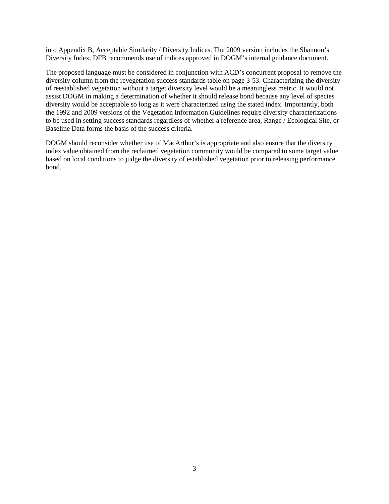into Appendix B, Acceptable Similarity / Diversity Indices. The 2009 version includes the Shannon's Diversity Index. DFB recommends use of indices approved in DOGM's internal guidance document.

The proposed language must be considered in conjunction with ACD's concurrent proposal to remove the diversity column from the revegetation success standards table on page 3-53. Characterizing the diversity of reestablished vegetation without a target diversity level would be a meaningless metric. It would not assist DOGM in making a determination of whether it should release bond because any level of species diversity would be acceptable so long as it were characterized using the stated index. Importantly, both the 1992 and 2009 versions of the Vegetation Information Guidelines require diversity characterizations to be used in setting success standards regardless of whether a reference area, Range / Ecological Site, or Baseline Data forms the basis of the success criteria.

DOGM should reconsider whether use of MacArthur's is appropriate and also ensure that the diversity index value obtained from the reclaimed vegetation community would be compared to some target value based on local conditions to judge the diversity of established vegetation prior to releasing performance bond.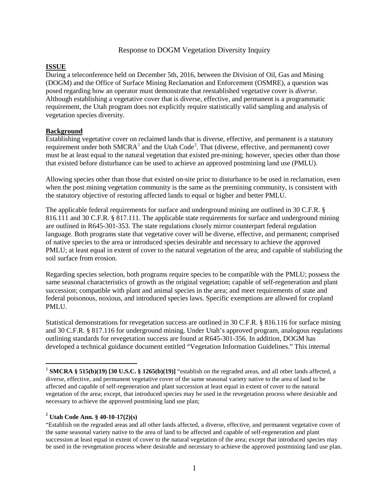## Response to DOGM Vegetation Diversity Inquiry

## **ISSUE**

During a teleconference held on December 5th, 2016, between the Division of Oil, Gas and Mining (DOGM) and the Office of Surface Mining Reclamation and Enforcement (OSMRE), a question was posed regarding how an operator must demonstrate that reestablished vegetative cover is *diverse*. Although establishing a vegetative cover that is diverse, effective, and permanent is a programmatic requirement, the Utah program does not explicitly require statistically valid sampling and analysis of vegetation species diversity.

#### **Background**

Establishing vegetative cover on reclaimed lands that is diverse, effective, and permanent is a statutory requirement under both SMCRA<sup>[1](#page-4-0)</sup> and the Utah Code<sup>[2](#page-4-1)</sup>. That (diverse, effective, and permanent) cover must be at least equal to the natural vegetation that existed pre-mining; however, species other than those that existed before disturbance can be used to achieve an approved postmining land use (PMLU).

Allowing species other than those that existed on-site prior to disturbance to be used in reclamation, even when the post mining vegetation community is the same as the premining community, is consistent with the statutory objective of restoring affected lands to equal or higher and better PMLU.

The applicable federal requirements for surface and underground mining are outlined in 30 C.F.R. § 816.111 and 30 C.F.R. § 817.111. The applicable state requirements for surface and underground mining are outlined in R645-301-353. The state regulations closely mirror counterpart federal regulation language. Both programs state that vegetative cover will be diverse, effective, and permanent; comprised of native species to the area or introduced species desirable and necessary to achieve the approved PMLU; at least equal in extent of cover to the natural vegetation of the area; and capable of stabilizing the soil surface from erosion.

Regarding species selection, both programs require species to be compatible with the PMLU; possess the same seasonal characteristics of growth as the original vegetation; capable of self-regeneration and plant succession; compatible with plant and animal species in the area; and meet requirements of state and federal poisonous, noxious, and introduced species laws. Specific exemptions are allowed for cropland PMLU.

Statistical demonstrations for revegetation success are outlined in 30 C.F.R. § 816.116 for surface mining and 30 C.F.R. § 817.116 for underground mining. Under Utah's approved program, analogous regulations outlining standards for revegetation success are found at R645-301-356. In addition, DOGM has developed a technical guidance document entitled "Vegetation Information Guidelines." This internal

## <span id="page-4-1"></span><sup>2</sup> **Utah Code Ann. § 40-10-17(2)(s)**

<span id="page-4-0"></span><sup>&</sup>lt;sup>1</sup> **SMCRA § 515(b)(19)** [30 U.S.C. § 1265(b)(19)] "establish on the regraded areas, and all other lands affected, a diverse, effective, and permanent vegetative cover of the same seasonal variety native to the area of land to be affected and capable of self-regeneration and plant succession at least equal in extent of cover to the natural vegetation of the area; except, that introduced species may be used in the revegetation process where desirable and necessary to achieve the approved postmining land use plan;

<sup>&</sup>quot;Establish on the regraded areas and all other lands affected, a diverse, effective, and permanent vegetative cover of the same seasonal variety native to the area of land to be affected and capable of self-regeneration and plant succession at least equal in extent of cover to the natural vegetation of the area; except that introduced species may be used in the revegetation process where desirable and necessary to achieve the approved postmining land use plan.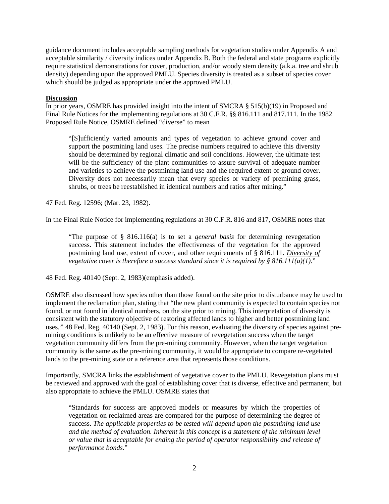guidance document includes acceptable sampling methods for vegetation studies under Appendix A and acceptable similarity / diversity indices under Appendix B. Both the federal and state programs explicitly require statistical demonstrations for cover, production, and/or woody stem density (a.k.a. tree and shrub density) depending upon the approved PMLU. Species diversity is treated as a subset of species cover which should be judged as appropriate under the approved PMLU.

## **Discussion**

In prior years, OSMRE has provided insight into the intent of SMCRA § 515(b)(19) in Proposed and Final Rule Notices for the implementing regulations at 30 C.F.R. §§ 816.111 and 817.111. In the 1982 Proposed Rule Notice, OSMRE defined "diverse" to mean

"[S]ufficiently varied amounts and types of vegetation to achieve ground cover and support the postmining land uses. The precise numbers required to achieve this diversity should be determined by regional climatic and soil conditions. However, the ultimate test will be the sufficiency of the plant communities to assure survival of adequate number and varieties to achieve the postmining land use and the required extent of ground cover. Diversity does not necessarily mean that every species or variety of premining grass, shrubs, or trees be reestablished in identical numbers and ratios after mining."

47 Fed. Reg. 12596; (Mar. 23, 1982).

In the Final Rule Notice for implementing regulations at 30 C.F.R. 816 and 817, OSMRE notes that

"The purpose of § 816.116(a) is to set a *general basis* for determining revegetation success. This statement includes the effectiveness of the vegetation for the approved postmining land use, extent of cover, and other requirements of § 816.111. *Diversity of vegetative cover is therefore a success standard since it is required by § 816.111(a)(1)* ."

48 Fed. Reg. 40140 (Sept. 2, 1983)(emphasis added).

OSMRE also discussed how species other than those found on the site prior to disturbance may be used to implement the reclamation plan, stating that "the new plant community is expected to contain species not found, or not found in identical numbers, on the site prior to mining. This interpretation of diversity is consistent with the statutory objective of restoring affected lands to higher and better postmining land uses.*"* 48 Fed. Reg. 40140 (Sept. 2, 1983). For this reason, evaluating the diversity of species against premining conditions is unlikely to be an effective measure of revegetation success when the target vegetation community differs from the pre-mining community. However, when the target vegetation community is the same as the pre-mining community, it would be appropriate to compare re-vegetated lands to the pre-mining state or a reference area that represents those conditions.

Importantly, SMCRA links the establishment of vegetative cover to the PMLU. Revegetation plans must be reviewed and approved with the goal of establishing cover that is diverse, effective and permanent, but also appropriate to achieve the PMLU. OSMRE states that

"Standards for success are approved models or measures by which the properties of vegetation on reclaimed areas are compared for the purpose of determining the degree of success. *The applicable properties to be tested will depend upon the postmining land use and the method of evaluation. Inherent in this concept is a statement of the minimum level or value that is acceptable for ending the period of operator responsibility and release of performance bonds*."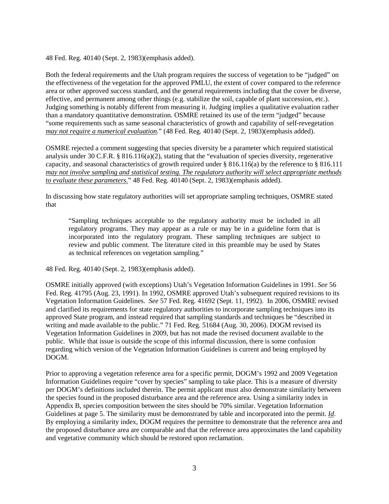48 Fed. Reg. 40140 (Sept. 2, 1983)(emphasis added).

Both the federal requirements and the Utah program requires the success of vegetation to be "judged" on the effectiveness of the vegetation for the approved PMLU, the extent of cover compared to the reference area or other approved success standard, and the general requirements including that the cover be diverse, effective, and permanent among other things (e.g. stabilize the soil, capable of plant succession, etc.). Judging something is notably different from measuring it. Judging implies a qualitative evaluation rather than a mandatory quantitative demonstration. OSMRE retained its use of the term "judged" because "some requirements such as same seasonal characteristics of growth and capability of self-revegetation *may not require a numerical evaluation* ." (48 Fed. Reg. 40140 (Sept. 2, 1983)(emphasis added).

OSMRE rejected a comment suggesting that species diversity be a parameter which required statistical analysis under 30 C.F.R. § 816.116(a)(2), stating that the "evaluation of species diversity, regenerative capacity, and seasonal characteristics of growth required under § 816.116(a) by the reference to § 816.111 *may not involve sampling and statistical testing. The regulatory authority will select appropriate methods to evaluate these parameters.*" 48 Fed. Reg. 40140 (Sept. 2, 1983)(emphasis added).

In discussing how state regulatory authorities will set appropriate sampling techniques, OSMRE stated that

"Sampling techniques acceptable to the regulatory authority must be included in all regulatory programs. They may appear as a rule or may be in a guideline form that is incorporated into the regulatory program. These sampling techniques are subject to review and public comment. The literature cited in this preamble may be used by States as technical references on vegetation sampling*.*"

48 Fed. Reg. 40140 (Sept. 2, 1983)(emphasis added).

OSMRE initially approved (with exceptions) Utah's Vegetation Information Guidelines in 1991. *See* 56 Fed. Reg. 41795 (Aug. 23, 1991). In 1992, OSMRE approved Utah's subsequent required revisions to its Vegetation Information Guidelines. *See* 57 Fed. Reg. 41692 (Sept. 11, 1992). In 2006, OSMRE revised and clarified its requirements for state regulatory authorities to incorporate sampling techniques into its approved State program, and instead required that sampling standards and techniques be "described in writing and made available to the public." 71 Fed. Reg. 51684 (Aug. 30, 2006). DOGM revised its Vegetation Information Guidelines in 2009, but has not made the revised document available to the public. While that issue is outside the scope of this informal discussion, there is some confusion regarding which version of the Vegetation Information Guidelines is current and being employed by DOGM.

Prior to approving a vegetation reference area for a specific permit, DOGM's 1992 and 2009 Vegetation Information Guidelines require "cover by species" sampling to take place. This is a measure of diversity per DOGM's definitions included therein. The permit applicant must also demonstrate similarity between the species found in the proposed disturbance area and the reference area. Using a similarity index in Appendix B, species composition between the sites should be 70% similar. Vegetation Information Guidelines at page 5. The similarity must be demonstrated by table and incorporated into the permit. *Id*. By employing a similarity index, DOGM requires the permittee to demonstrate that the reference area and the proposed disturbance area are comparable and that the reference area approximates the land capability and vegetative community which should be restored upon reclamation.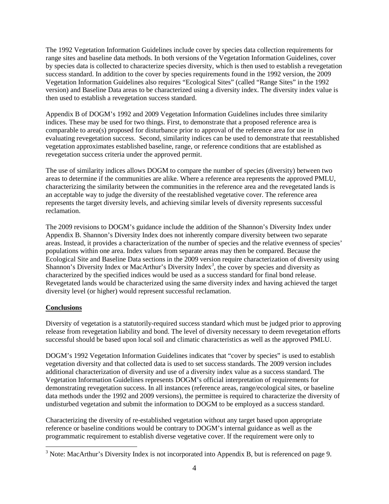The 1992 Vegetation Information Guidelines include cover by species data collection requirements for range sites and baseline data methods. In both versions of the Vegetation Information Guidelines, cover by species data is collected to characterize species diversity, which is then used to establish a revegetation success standard. In addition to the cover by species requirements found in the 1992 version, the 2009 Vegetation Information Guidelines also requires "Ecological Sites" (called "Range Sites" in the 1992 version) and Baseline Data areas to be characterized using a diversity index. The diversity index value is then used to establish a revegetation success standard.

Appendix B of DOGM's 1992 and 2009 Vegetation Information Guidelines includes three similarity indices. These may be used for two things. First, to demonstrate that a proposed reference area is comparable to area(s) proposed for disturbance prior to approval of the reference area for use in evaluating revegetation success. Second, similarity indices can be used to demonstrate that reestablished vegetation approximates established baseline, range, or reference conditions that are established as revegetation success criteria under the approved permit.

The use of similarity indices allows DOGM to compare the number of species (diversity) between two areas to determine if the communities are alike. Where a reference area represents the approved PMLU, characterizing the similarity between the communities in the reference area and the revegetated lands is an acceptable way to judge the diversity of the reestablished vegetative cover. The reference area represents the target diversity levels, and achieving similar levels of diversity represents successful reclamation.

The 2009 revisions to DOGM's guidance include the addition of the Shannon's Diversity Index under Appendix B. Shannon's Diversity Index does not inherently compare diversity between two separate areas. Instead, it provides a characterization of the number of species and the relative evenness of species' populations within one area. Index values from separate areas may then be compared. Because the Ecological Site and Baseline Data sections in the 2009 version require characterization of diversity using Shannon's Diversity Index or MacArthur's Diversity Index*[3](#page-7-0)* , the cover by species and diversity as characterized by the specified indices would be used as a success standard for final bond release. Revegetated lands would be characterized using the same diversity index and having achieved the target diversity level (or higher) would represent successful reclamation.

## **Conclusions**

Diversity of vegetation is a statutorily-required success standard which must be judged prior to approving release from revegetation liability and bond. The level of diversity necessary to deem revegetation efforts successful should be based upon local soil and climatic characteristics as well as the approved PMLU.

DOGM's 1992 Vegetation Information Guidelines indicates that "cover by species" is used to establish vegetation diversity and that collected data is used to set success standards. The 2009 version includes additional characterization of diversity and use of a diversity index value as a success standard. The Vegetation Information Guidelines represents DOGM's official interpretation of requirements for demonstrating revegetation success. In all instances (reference areas, range/ecological sites, or baseline data methods under the 1992 and 2009 versions), the permittee is required to characterize the diversity of undisturbed vegetation and submit the information to DOGM to be employed as a success standard.

Characterizing the diversity of re-established vegetation without any target based upon appropriate reference or baseline conditions would be contrary to DOGM's internal guidance as well as the programmatic requirement to establish diverse vegetative cover. If the requirement were only to

<span id="page-7-0"></span>l <sup>3</sup> Note: MacArthur's Diversity Index is not incorporated into Appendix B, but is referenced on page 9.